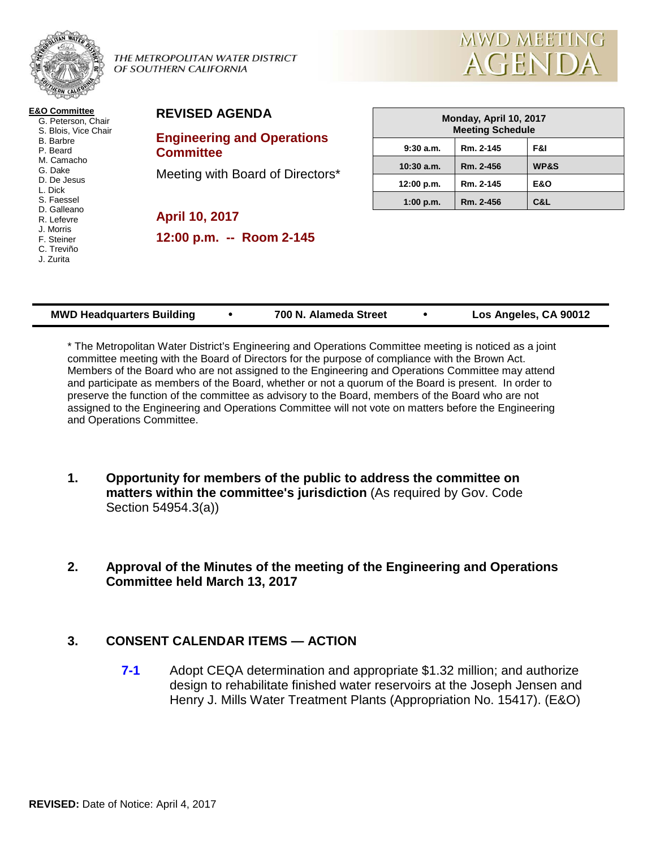

THE METROPOLITAN WATER DISTRICT OF SOUTHERN CALIFORNIA



#### **E&O Committee**

- G. Peterson, Chair
- S. Blois, Vice Chair B. Barbre
- P. Beard
- M. Camacho
- G. Dake
- D. De Jesus
- L. Dick S. Faessel
- D. Galleano
- R. Lefevre
- J. Morris
- F. Steiner
- C. Treviño
- J. Zurita

### **REVISED AGENDA**

# **Engineering and Operations Committee**

Meeting with Board of Directors\*

**April 10, 2017 12:00 p.m. -- Room 2-145**

| Monday, April 10, 2017<br><b>Meeting Schedule</b> |           |                 |  |
|---------------------------------------------------|-----------|-----------------|--|
| 9:30a.m.                                          | Rm. 2-145 | F&I             |  |
| $10:30$ a.m.                                      | Rm. 2-456 | <b>WP&amp;S</b> |  |
| 12:00 p.m.                                        | Rm. 2-145 | <b>E&amp;O</b>  |  |
| 1:00 p.m.                                         | Rm. 2-456 | C&L             |  |

| <b>MWD Headquarters Building</b><br>700 N. Alameda Street | Los Angeles, CA 90012 |
|-----------------------------------------------------------|-----------------------|
|-----------------------------------------------------------|-----------------------|

\* The Metropolitan Water District's Engineering and Operations Committee meeting is noticed as a joint committee meeting with the Board of Directors for the purpose of compliance with the Brown Act. Members of the Board who are not assigned to the Engineering and Operations Committee may attend and participate as members of the Board, whether or not a quorum of the Board is present. In order to preserve the function of the committee as advisory to the Board, members of the Board who are not assigned to the Engineering and Operations Committee will not vote on matters before the Engineering and Operations Committee.

- **1. Opportunity for members of the public to address the committee on matters within the committee's jurisdiction** (As required by Gov. Code Section 54954.3(a))
- **2. Approval of the Minutes of the meeting of the Engineering and Operations Committee held March 13, 2017**

## **3. CONSENT CALENDAR ITEMS — ACTION**

**7-1** Adopt CEQA determination and appropriate \$1.32 million; and authorize design to rehabilitate finished water reservoirs at the Joseph Jensen and Henry J. Mills Water Treatment Plants (Appropriation No. 15417). (E&O)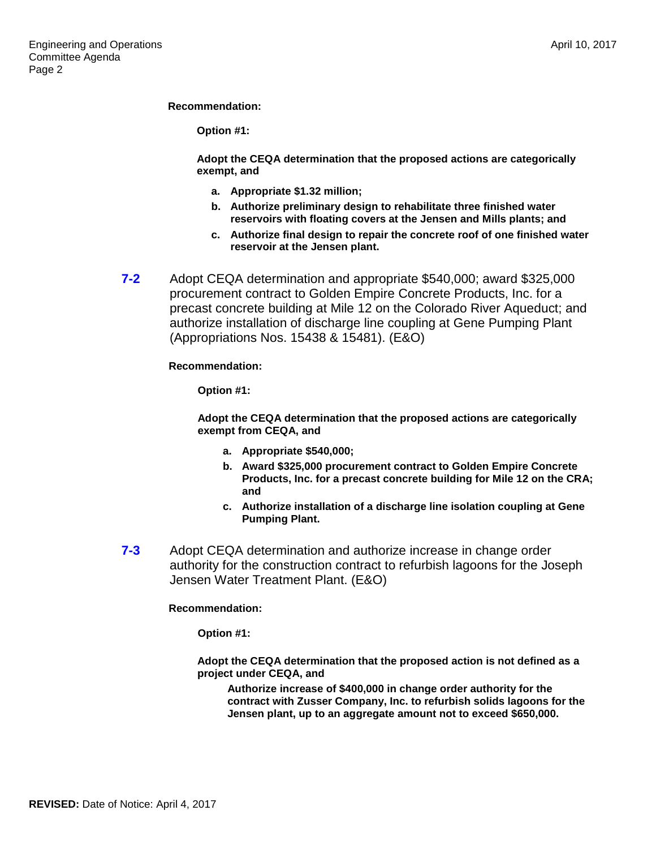**Recommendation:**

**Option #1:**

**Adopt the CEQA determination that the proposed actions are categorically exempt, and**

- **a. Appropriate \$1.32 million;**
- **b. Authorize preliminary design to rehabilitate three finished water reservoirs with floating covers at the Jensen and Mills plants; and**
- **c. Authorize final design to repair the concrete roof of one finished water reservoir at the Jensen plant.**
- **7-2** Adopt CEQA determination and appropriate \$540,000; award \$325,000 procurement contract to Golden Empire Concrete Products, Inc. for a precast concrete building at Mile 12 on the Colorado River Aqueduct; and authorize installation of discharge line coupling at Gene Pumping Plant (Appropriations Nos. 15438 & 15481). (E&O)

#### **Recommendation:**

**Option #1:**

**Adopt the CEQA determination that the proposed actions are categorically exempt from CEQA, and**

- **a. Appropriate \$540,000;**
- **b. Award \$325,000 procurement contract to Golden Empire Concrete Products, Inc. for a precast concrete building for Mile 12 on the CRA; and**
- **c. Authorize installation of a discharge line isolation coupling at Gene Pumping Plant.**
- **7-3** Adopt CEQA determination and authorize increase in change order authority for the construction contract to refurbish lagoons for the Joseph Jensen Water Treatment Plant. (E&O)

#### **Recommendation:**

**Option #1:**

**Adopt the CEQA determination that the proposed action is not defined as a project under CEQA, and**

**Authorize increase of \$400,000 in change order authority for the contract with Zusser Company, Inc. to refurbish solids lagoons for the Jensen plant, up to an aggregate amount not to exceed \$650,000.**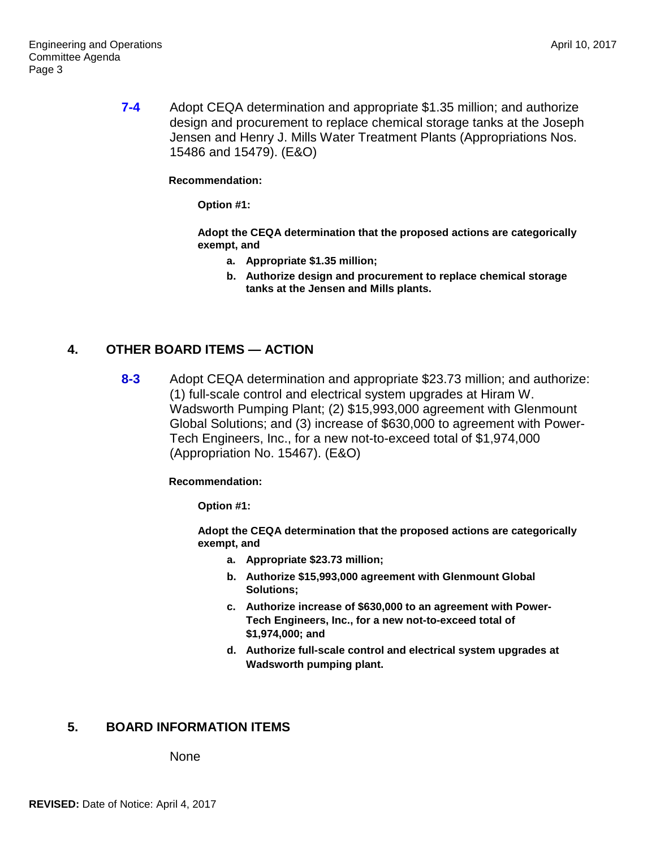**7-4** Adopt CEQA determination and appropriate \$1.35 million; and authorize design and procurement to replace chemical storage tanks at the Joseph Jensen and Henry J. Mills Water Treatment Plants (Appropriations Nos. 15486 and 15479). (E&O)

**Recommendation:**

**Option #1:**

**Adopt the CEQA determination that the proposed actions are categorically exempt, and**

- **a. Appropriate \$1.35 million;**
- **b. Authorize design and procurement to replace chemical storage tanks at the Jensen and Mills plants.**

## **4. OTHER BOARD ITEMS — ACTION**

**8-3** Adopt CEQA determination and appropriate \$23.73 million; and authorize: (1) full-scale control and electrical system upgrades at Hiram W. Wadsworth Pumping Plant; (2) \$15,993,000 agreement with Glenmount Global Solutions; and (3) increase of \$630,000 to agreement with Power-Tech Engineers, Inc., for a new not-to-exceed total of \$1,974,000 (Appropriation No. 15467). (E&O)

**Recommendation:**

**Option #1:**

**Adopt the CEQA determination that the proposed actions are categorically exempt, and**

- **a. Appropriate \$23.73 million;**
- **b. Authorize \$15,993,000 agreement with Glenmount Global Solutions;**
- **c. Authorize increase of \$630,000 to an agreement with Power-Tech Engineers, Inc., for a new not-to-exceed total of \$1,974,000; and**
- **d. Authorize full-scale control and electrical system upgrades at Wadsworth pumping plant.**

#### **5. BOARD INFORMATION ITEMS**

None